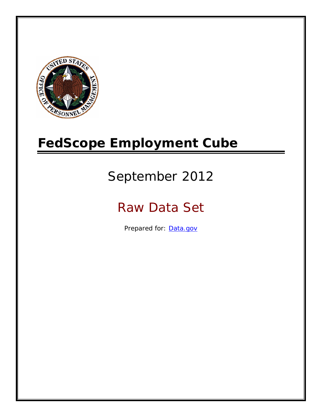

# **FedScope Employment Cube**

# September 2012

# Raw Data Set

Prepared for: [Data.gov](http://www.data.gov/)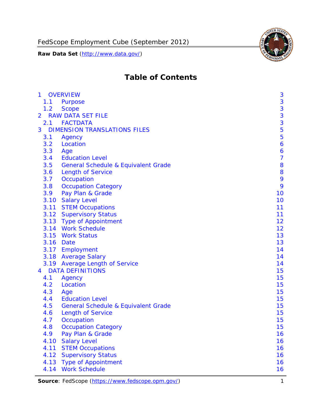

# **Table of Contents**

| $\mathbf{1}$ | <b>OVERVIEW</b>                                | 3              |
|--------------|------------------------------------------------|----------------|
| 1.1          | Purpose                                        | 3              |
| 1.2          | <b>Scope</b>                                   | 3              |
| 2            | <b>RAW DATA SET FILE</b>                       | 3              |
| 2.1          | <b>FACTDATA</b>                                | 3              |
| 3            | <b>DIMENSION TRANSLATIONS FILES</b>            | 5              |
| 3.1          | Agency                                         | 5              |
| 3.2          | Location                                       | 6              |
| 3.3          | Age                                            | 6              |
| 3.4          | <b>Education Level</b>                         | $\overline{7}$ |
| 3.5          | <b>General Schedule &amp; Equivalent Grade</b> | 8              |
| 3.6          | <b>Length of Service</b>                       | 8              |
| 3.7          | Occupation                                     | 9              |
| 3.8          | <b>Occupation Category</b>                     | 9              |
| 3.9          | Pay Plan & Grade                               | 10             |
| 3.10         | <b>Salary Level</b>                            | 10             |
|              | 3.11 STEM Occupations                          | 11             |
|              | 3.12 Supervisory Status                        | 11             |
|              | 3.13 Type of Appointment                       | 12             |
|              | 3.14 Work Schedule                             | 12             |
| 3.15         | <b>Work Status</b>                             | 13             |
|              | 3.16 Date                                      | 13             |
|              | 3.17 Employment                                | 14             |
|              | 3.18 Average Salary                            | 14             |
|              | 3.19 Average Length of Service                 | 14             |
| 4            | <b>DATA DEFINITIONS</b>                        | 15             |
| 4.1          | Agency                                         | 15             |
| 4.2          | Location                                       | 15             |
| 4.3          | Age                                            | 15             |
| 4.4          | <b>Education Level</b>                         | 15             |
| 4.5          | <b>General Schedule &amp; Equivalent Grade</b> | 15             |
| 4.6          | <b>Length of Service</b>                       | 15             |
| 4.7          | Occupation                                     | 15             |
| 4.8          | <b>Occupation Category</b>                     | 15             |
| 4.9          | Pay Plan & Grade                               | 16             |
| 4.10         | <b>Salary Level</b>                            | 16             |
| 4.11         | <b>STEM Occupations</b>                        | 16             |
| 4.12         | <b>Supervisory Status</b>                      | 16             |
| 4.13         | <b>Type of Appointment</b>                     | 16             |
| 4.14         | <b>Work Schedule</b>                           | 16             |

**Source**: FedScope (https://www.fedscope.opm.gov/) 1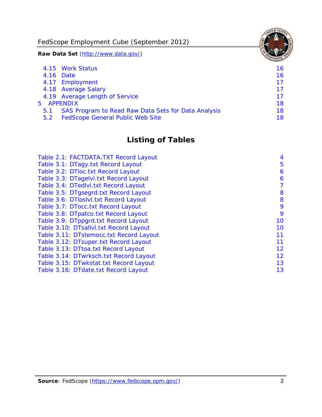FedScope Employment Cube (September 2012)

**Raw Data Set** (http://www.data.gov/)

|               | 4.15 Work Status                                    | 16 |
|---------------|-----------------------------------------------------|----|
|               | 4.16 Date                                           | 16 |
|               | 4.17 Employment                                     | 17 |
|               | 4.18 Average Salary                                 | 17 |
|               | 4.19 Average Length of Service                      | 17 |
|               | 5 APPENDIX                                          | 18 |
| 5.1           | SAS Program to Read Raw Data Sets for Data Analysis | 18 |
| $5.2^{\circ}$ | <b>FedScope General Public Web Site</b>             | 18 |

# **Listing of Tables**

| Table 2.1: FACTDATA.TXT Record Layout   | 4  |
|-----------------------------------------|----|
| Table 3.1: DTagy.txt Record Layout      | 5  |
| Table 3.2: DTloc.txt Record Layout      | 6  |
| Table 3.3: DTagelvl.txt Record Layout   | 6  |
| Table 3.4: DTedlvl.txt Record Layout    | 7  |
| Table 3.5: DTgsegrd.txt Record Layout   | 8  |
| Table 3.6: DTIoslyl.txt Record Layout   | 8  |
| Table 3.7: DTocc.txt Record Layout      | 9  |
| Table 3.8: DTpatco.txt Record Layout    | 9  |
| Table 3.9: DTppgrd.txt Record Layout    | 10 |
| Table 3.10: DTsallvl.txt Record Layout  | 10 |
| Table 3.11: DTstemocc.txt Record Layout | 11 |
| Table 3.12: DTsuper.txt Record Layout   | 11 |
| Table 3.13: DTtoa.txt Record Layout     | 12 |
| Table 3.14: DTwrksch.txt Record Layout  | 12 |
| Table 3.15: DTwkstat.txt Record Layout  | 13 |
| Table 3.16: DTdate.txt Record Layout    | 13 |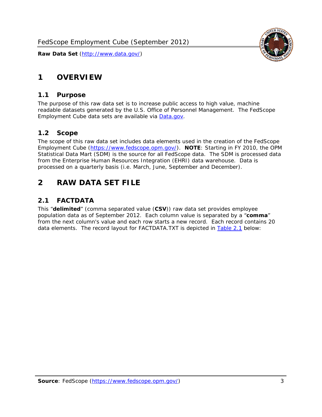# <span id="page-3-0"></span>**1 OVERVIEW**

#### *1.1 Purpose*

<span id="page-3-1"></span>The purpose of this raw data set is to increase public access to high value, machine readable datasets generated by the U.S. Office of Personnel Management. The FedScope Employment Cube data sets are available via [Data.gov](http://www.data.gov/).

## <span id="page-3-2"></span>*1.2 Scope*

The scope of this raw data set includes data elements used in the creation of the FedScope Employment Cube [\(https://www.fedscope.opm.gov/\)](https://www.fedscope.opm.gov/). **NOTE**: Starting in FY 2010, the OPM Statistical Data Mart (SDM) is the source for all FedScope data. The SDM is processed data from the Enterprise Human Resources Integration (EHRI) data warehouse. Data is processed on a quarterly basis (i.e. March, June, September and December).

# <span id="page-3-3"></span>**2 RAW DATA SET FILE**

## <span id="page-3-4"></span>*2.1 FACTDATA*

This "**delimited**" (comma separated value (**CSV**)) raw data set provides employee population data as of September 2012. Each column value is separated by a "**comma**" from the next column's value and each row starts a new record. Each record contains 20 data elements. The record layout for FACTDATA.TXT is depicted in [Table 2.1](#page-4-1) below:

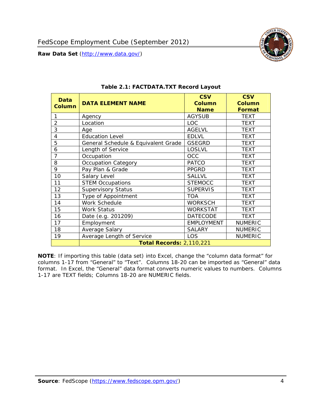<span id="page-4-1"></span><span id="page-4-0"></span>

**NOTE**: If importing this table (data set) into Excel, change the "column data format" for columns 1-17 from "General" to "Text". Columns 18-20 can be imported as "General" data format. In Excel, the "General" data format converts numeric values to numbers. Columns 1-17 are TEXT fields; Columns 18-20 are NUMERIC fields.

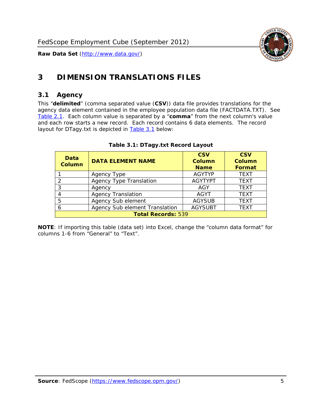

# <span id="page-5-0"></span>**3 DIMENSION TRANSLATIONS FILES**

#### <span id="page-5-1"></span>*3.1 Agency*

<span id="page-5-3"></span><span id="page-5-2"></span>This "**delimited**" (comma separated value (**CSV**)) data file provides translations for the agency data element contained in the employee population data file (FACTDATA.TXT). See [Table 2.1.](#page-4-1) Each column value is separated by a "**comma**" from the next column's value and each row starts a new record. Each record contains 6 data elements. The record layout for DTagy.txt is depicted in [Table 3.1](#page-5-3) below:

| Data<br>Column            | <b>DATA ELEMENT NAME</b>       | <b>CSV</b><br><b>Column</b><br><b>Name</b> | <b>CSV</b><br>Column<br><b>Format</b> |
|---------------------------|--------------------------------|--------------------------------------------|---------------------------------------|
|                           | Agency Type                    | <b>AGYTYP</b>                              | <b>TEXT</b>                           |
| 2                         | <b>Agency Type Translation</b> | <b>AGYTYPT</b>                             | <b>TEXT</b>                           |
| 3                         | Agency                         | AGY                                        | <b>TEXT</b>                           |
|                           | <b>Agency Translation</b>      | <b>AGYT</b>                                | <b>TEXT</b>                           |
| -5                        | Agency Sub element             | <b>AGYSUB</b>                              | <b>TEXT</b>                           |
|                           | Agency Sub element Translation | <b>AGYSUBT</b>                             | <b>TEXT</b>                           |
| <b>Total Records: 539</b> |                                |                                            |                                       |

#### **Table 3.1: DTagy.txt Record Layout**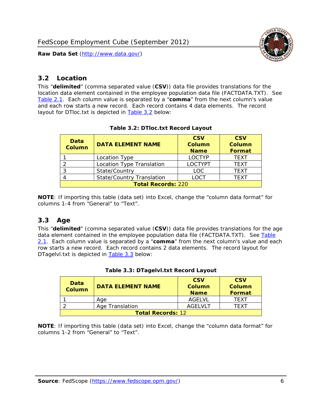

#### <span id="page-6-0"></span>*3.2 Location*

<span id="page-6-4"></span><span id="page-6-2"></span>This "**delimited**" (comma separated value (**CSV**)) data file provides translations for the location data element contained in the employee population data file (FACTDATA.TXT). See [Table 2.1.](#page-4-1) Each column value is separated by a "**comma**" from the next column's value and each row starts a new record. Each record contains 4 data elements. The record layout for DTloc.txt is depicted in [Table 3.2](#page-6-4) below:

| Data<br><b>Column</b>     | <b>DATA ELEMENT NAME</b>         | <b>CSV</b><br>Column<br><b>Name</b> | <b>CSV</b><br><b>Column</b><br><b>Format</b> |
|---------------------------|----------------------------------|-------------------------------------|----------------------------------------------|
|                           | Location Type                    | <b>LOCTYP</b>                       | <b>TEXT</b>                                  |
|                           | Location Type Translation        | <b>LOCTYPT</b>                      | <b>TEXT</b>                                  |
| ົ                         | State/Country                    | <b>LOC</b>                          | <b>TFXT</b>                                  |
|                           | <b>State/Country Translation</b> | LOCT                                | <b>TFXT</b>                                  |
| <b>Total Records: 220</b> |                                  |                                     |                                              |

#### **Table 3.2: DTloc.txt Record Layout**

**NOTE**: If importing this table (data set) into Excel, change the "column data format" for columns 1-4 from "General" to "Text".

#### <span id="page-6-1"></span>*3.3 Age*

<span id="page-6-5"></span><span id="page-6-3"></span>This "**delimited**" (comma separated value (**CSV**)) data file provides translations for the age data element contained in the employee population data file (FACTDATA.TXT). See [Table](#page-4-1) [2.1](#page-4-1). Each column value is separated by a "**comma**" from the next column's value and each row starts a new record. Each record contains 2 data elements. The record layout for DTagelvl.txt is depicted in **[Table 3.3](#page-6-5)** below:

| Data<br>Column           | <b>DATA ELEMENT NAME</b> | <b>CSV</b><br>Column<br><b>Name</b> | <b>CSV</b><br>Column<br>Format |
|--------------------------|--------------------------|-------------------------------------|--------------------------------|
|                          | Aae                      | AGFI VI                             | TFXT                           |
|                          | Age Translation          | AGFI VI T                           | TFXT                           |
| <b>Total Records: 12</b> |                          |                                     |                                |

#### **Table 3.3: DTagelvl.txt Record Layout**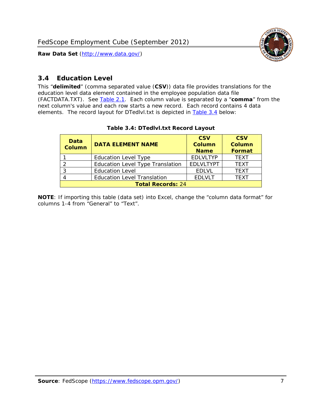

#### <span id="page-7-0"></span>*3.4 Education Level*

<span id="page-7-2"></span><span id="page-7-1"></span>This "**delimited**" (comma separated value (**CSV**)) data file provides translations for the education level data element contained in the employee population data file (FACTDATA.TXT). See [Table 2.1](#page-4-1). Each column value is separated by a "**comma**" from the next column's value and each row starts a new record. Each record contains 4 data elements. The record layout for DTedlvl.txt is depicted in [Table 3.4](#page-7-2) below:

| Data<br><b>Column</b>    | <b>DATA ELEMENT NAME</b>           | <b>CSV</b><br><b>Column</b><br><b>Name</b> | <b>CSV</b><br><b>Column</b><br><b>Format</b> |
|--------------------------|------------------------------------|--------------------------------------------|----------------------------------------------|
|                          | <b>Education Level Type</b>        | <b>EDLVLTYP</b>                            | <b>TEXT</b>                                  |
|                          | Education Level Type Translation   | <b>EDLVLTYPT</b>                           | <b>TEXT</b>                                  |
|                          | <b>Education Level</b>             | <b>EDLVL</b>                               | <b>TEXT</b>                                  |
|                          | <b>Education Level Translation</b> | <b>EDLVLT</b>                              | <b>TEXT</b>                                  |
| <b>Total Records: 24</b> |                                    |                                            |                                              |

#### **Table 3.4: DTedlvl.txt Record Layout**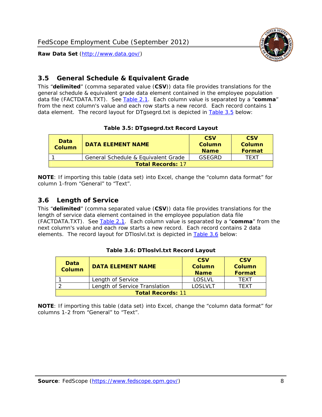

#### <span id="page-8-0"></span>*3.5 General Schedule & Equivalent Grade*

This "**delimited**" (comma separated value (**CSV**)) data file provides translations for the general schedule & equivalent grade data element contained in the employee population data file (FACTDATA.TXT). See [Table 2.1](#page-4-1). Each column value is separated by a "**comma**" from the next column's value and each row starts a new record. Each record contains 1 data element. The record layout for DTgsegrd.txt is depicted in [Table 3.5](#page-8-4) below:

#### **Table 3.5: DTgsegrd.txt Record Layout**

<span id="page-8-4"></span><span id="page-8-2"></span>

| Data<br>Column           | DATA FI FMFNT NAMF                  | <b>CSV</b><br>Column<br><b>Name</b> | <b>CSV</b><br>Column<br><b>Format</b> |
|--------------------------|-------------------------------------|-------------------------------------|---------------------------------------|
|                          | General Schedule & Equivalent Grade | GSFGRD                              | TFXT                                  |
| <b>Total Records: 17</b> |                                     |                                     |                                       |

**NOTE**: If importing this table (data set) into Excel, change the "column data format" for column 1-from "General" to "Text".

#### <span id="page-8-1"></span>*3.6 Length of Service*

<span id="page-8-5"></span>This "**delimited**" (comma separated value (**CSV**)) data file provides translations for the length of service data element contained in the employee population data file (FACTDATA.TXT). See [Table 2.1](#page-4-1). Each column value is separated by a "**comma**" from the next column's value and each row starts a new record. Each record contains 2 data elements. The record layout for DTloslvl.txt is depicted in [Table 3.6](#page-8-5) below:

<span id="page-8-3"></span>

| Data<br><b>Column</b>    | <b>DATA ELEMENT NAME</b>      | <b>CSV</b><br><b>Column</b><br><b>Name</b> | <b>CSV</b><br>Column<br>Format |
|--------------------------|-------------------------------|--------------------------------------------|--------------------------------|
|                          | Length of Service             | LOSLVL                                     | TFXT                           |
|                          | Length of Service Translation | LOSI VLT                                   | TFXT                           |
| <b>Total Records: 11</b> |                               |                                            |                                |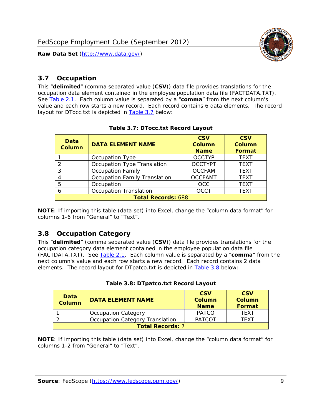

#### <span id="page-9-0"></span>*3.7 Occupation*

<span id="page-9-4"></span>This "**delimited**" (comma separated value (**CSV**)) data file provides translations for the occupation data element contained in the employee population data file (FACTDATA.TXT). See [Table 2.1](#page-4-1). Each column value is separated by a "**comma**" from the next column's value and each row starts a new record. Each record contains 6 data elements. The record layout for DTocc.txt is depicted in [Table 3.7](#page-9-4) below:

<span id="page-9-2"></span>

| Data<br><b>Column</b>     | <b>DATA ELEMENT NAME</b>             | <b>CSV</b><br><b>Column</b><br><b>Name</b> | <b>CSV</b><br>Column<br><b>Format</b> |
|---------------------------|--------------------------------------|--------------------------------------------|---------------------------------------|
|                           | Occupation Type                      | <b>OCCTYP</b>                              | <b>TEXT</b>                           |
|                           | Occupation Type Translation          | <b>OCCTYPT</b>                             | <b>TEXT</b>                           |
| 3                         | <b>Occupation Family</b>             | <b>OCCFAM</b>                              | <b>TEXT</b>                           |
|                           | <b>Occupation Family Translation</b> | <b>OCCFAMT</b>                             | <b>TEXT</b>                           |
| 5                         | Occupation                           | <b>OCC</b>                                 | <b>TEXT</b>                           |
|                           | <b>Occupation Translation</b>        | <b>OCCT</b>                                | <b>TEXT</b>                           |
| <b>Total Records: 688</b> |                                      |                                            |                                       |

#### **Table 3.7: DTocc.txt Record Layout**

**NOTE**: If importing this table (data set) into Excel, change the "column data format" for columns 1-6 from "General" to "Text".

#### <span id="page-9-1"></span>*3.8 Occupation Category*

<span id="page-9-5"></span>This "**delimited**" (comma separated value (**CSV**)) data file provides translations for the occupation category data element contained in the employee population data file (FACTDATA.TXT). See [Table 2.1](#page-4-1). Each column value is separated by a "**comma**" from the next column's value and each row starts a new record. Each record contains 2 data elements. The record layout for DTpatco.txt is depicted in [Table 3.8](#page-9-5) below:

<span id="page-9-3"></span>

| Data<br><b>Column</b>   | <b>DATA ELEMENT NAME</b>        | <b>CSV</b><br>Column<br><b>Name</b> | <b>CSV</b><br>Column<br>Format |
|-------------------------|---------------------------------|-------------------------------------|--------------------------------|
|                         | <b>Occupation Category</b>      | <b>PATCO</b>                        | <b>TFXT</b>                    |
|                         | Occupation Category Translation | <b>PATCOT</b>                       | TFXT                           |
| <b>Total Records: 7</b> |                                 |                                     |                                |

| Table 3.8: DTpatco.txt Record Layout |  |
|--------------------------------------|--|
|--------------------------------------|--|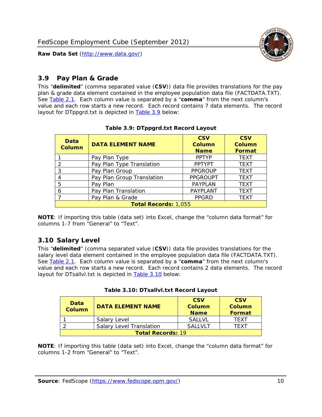

#### <span id="page-10-0"></span>*3.9 Pay Plan & Grade*

<span id="page-10-4"></span>This "**delimited**" (comma separated value (**CSV**)) data file provides translations for the pay plan & grade data element contained in the employee population data file (FACTDATA.TXT). See [Table 2.1](#page-4-1). Each column value is separated by a "**comma**" from the next column's value and each row starts a new record. Each record contains 7 data elements. The record layout for DTppgrd.txt is depicted in **Table 3.9** below:

<span id="page-10-2"></span>

| Data<br>Column              | <b>DATA ELEMENT NAME</b>   | <b>CSV</b><br>Column<br><b>Name</b> | <b>CSV</b><br>Column<br><b>Format</b> |
|-----------------------------|----------------------------|-------------------------------------|---------------------------------------|
|                             | Pay Plan Type              | <b>PPTYP</b>                        | <b>TEXT</b>                           |
| $\mathcal{P}$               | Pay Plan Type Translation  | <b>PPTYPT</b>                       | <b>TEXT</b>                           |
| 3                           | Pay Plan Group             | <b>PPGROUP</b>                      | <b>TEXT</b>                           |
|                             | Pay Plan Group Translation | <b>PPGROUPT</b>                     | <b>TEXT</b>                           |
| 5                           | Pay Plan                   | <b>PAYPLAN</b>                      | <b>TEXT</b>                           |
| 6                           | Pay Plan Translation       | <b>PAYPLANT</b>                     | <b>TEXT</b>                           |
|                             | Pay Plan & Grade           | <b>PPGRD</b>                        | <b>TEXT</b>                           |
| <b>Total Records: 1,055</b> |                            |                                     |                                       |

#### **Table 3.9: DTppgrd.txt Record Layout**

**NOTE**: If importing this table (data set) into Excel, change the "column data format" for columns 1-7 from "General" to "Text".

## <span id="page-10-1"></span>*3.10 Salary Level*

<span id="page-10-5"></span><span id="page-10-3"></span>This "**delimited**" (comma separated value (**CSV**)) data file provides translations for the salary level data element contained in the employee population data file (FACTDATA.TXT). See [Table 2.1](#page-4-1). Each column value is separated by a "**comma**" from the next column's value and each row starts a new record. Each record contains 2 data elements. The record layout for DTsallvl.txt is depicted in [Table 3.10](#page-10-5) below:

| <b>Data</b><br>Column    | <b>DATA ELEMENT NAME</b>        | <b>CSV</b><br>Column<br><b>Name</b> | <b>CSV</b><br>Column<br><b>Format</b> |
|--------------------------|---------------------------------|-------------------------------------|---------------------------------------|
|                          | Salary Level                    | <b>SALLVL</b>                       | TFXT                                  |
|                          | <b>Salary Level Translation</b> | SAI I VI T                          | TEXT                                  |
| <b>Total Records: 19</b> |                                 |                                     |                                       |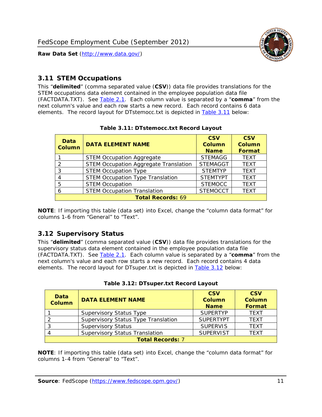

#### <span id="page-11-0"></span>*3.11 STEM Occupations*

<span id="page-11-4"></span>This "**delimited**" (comma separated value (**CSV**)) data file provides translations for the STEM occupations data element contained in the employee population data file (FACTDATA.TXT). See [Table 2.1](#page-4-1). Each column value is separated by a "**comma**" from the next column's value and each row starts a new record. Each record contains 6 data elements. The record layout for DTstemocc.txt is depicted in [Table 3.11](#page-11-4) below:

<span id="page-11-2"></span>

| <b>Data</b><br><b>Column</b> | <b>DATA ELEMENT NAME</b>                     | <b>CSV</b><br>Column<br><b>Name</b> | <b>CSV</b><br><b>Column</b><br><b>Format</b> |  |
|------------------------------|----------------------------------------------|-------------------------------------|----------------------------------------------|--|
|                              | <b>STEM Occupation Aggregate</b>             | <b>STEMAGG</b>                      | <b>TEXT</b>                                  |  |
|                              | <b>STEM Occupation Aggregate Translation</b> | <b>STEMAGGT</b>                     | <b>TEXT</b>                                  |  |
| 3                            | <b>STEM Occupation Type</b>                  | <b>STEMTYP</b>                      | <b>TEXT</b>                                  |  |
|                              | <b>STEM Occupation Type Translation</b>      | <b>STEMTYPT</b>                     | <b>TEXT</b>                                  |  |
| 5                            | <b>STEM Occupation</b>                       | <b>STEMOCC</b>                      | <b>TEXT</b>                                  |  |
|                              | <b>STEM Occupation Translation</b>           | <b>STEMOCCT</b>                     | <b>TEXT</b>                                  |  |
| <b>Total Records: 69</b>     |                                              |                                     |                                              |  |

#### **Table 3.11: DTstemocc.txt Record Layout**

**NOTE**: If importing this table (data set) into Excel, change the "column data format" for columns 1-6 from "General" to "Text".

## <span id="page-11-1"></span>*3.12 Supervisory Status*

This "**delimited**" (comma separated value (**CSV**)) data file provides translations for the supervisory status data element contained in the employee population data file (FACTDATA.TXT). See [Table 2.1](#page-4-1). Each column value is separated by a "**comma**" from the next column's value and each row starts a new record. Each record contains 4 data elements. The record layout for DTsuper.txt is depicted in [Table 3.12](#page-11-5) below:

<span id="page-11-5"></span><span id="page-11-3"></span>

| Data<br><b>Column</b>   | <b>DATA ELEMENT NAME</b>              | <b>CSV</b><br>Column<br><b>Name</b> | <b>CSV</b><br><b>Column</b><br>Format |
|-------------------------|---------------------------------------|-------------------------------------|---------------------------------------|
|                         | <b>Supervisory Status Type</b>        | <b>SUPERTYP</b>                     | <b>TEXT</b>                           |
|                         | Supervisory Status Type Translation   | <b>SUPERTYPT</b>                    | <b>TEXT</b>                           |
|                         | <b>Supervisory Status</b>             | <b>SUPERVIS</b>                     | <b>TEXT</b>                           |
|                         | <b>Supervisory Status Translation</b> | <b>SUPERVIST</b>                    | <b>TEXT</b>                           |
| <b>Total Records: 7</b> |                                       |                                     |                                       |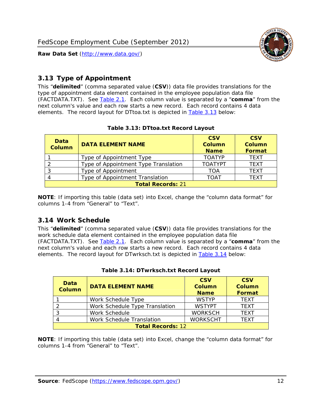

#### <span id="page-12-0"></span>*3.13 Type of Appointment*

This "**delimited**" (comma separated value (**CSV**)) data file provides translations for the type of appointment data element contained in the employee population data file (FACTDATA.TXT). See [Table 2.1](#page-4-1). Each column value is separated by a "**comma**" from the next column's value and each row starts a new record. Each record contains 4 data elements. The record layout for DTtoa.txt is depicted in [Table 3.13](#page-12-4) below:

<span id="page-12-4"></span><span id="page-12-2"></span>

| Data<br><b>Column</b>    | <b>DATA ELEMENT NAME</b>             | <b>CSV</b><br><b>Column</b><br><b>Name</b> | <b>CSV</b><br><b>Column</b><br>Format |
|--------------------------|--------------------------------------|--------------------------------------------|---------------------------------------|
|                          | Type of Appointment Type             | <b>TOATYP</b>                              | <b>TEXT</b>                           |
|                          | Type of Appointment Type Translation | <b>TOATYPT</b>                             | <b>TEXT</b>                           |
|                          | Type of Appointment                  | TOA                                        | <b>TEXT</b>                           |
|                          | Type of Appointment Translation      | TOAT                                       | <b>TFXT</b>                           |
| <b>Total Records: 21</b> |                                      |                                            |                                       |

#### **Table 3.13: DTtoa.txt Record Layout**

**NOTE**: If importing this table (data set) into Excel, change the "column data format" for columns 1-4 from "General" to "Text".

#### <span id="page-12-1"></span>*3.14 Work Schedule*

<span id="page-12-5"></span>This "**delimited**" (comma separated value (**CSV**)) data file provides translations for the work schedule data element contained in the employee population data file (FACTDATA.TXT). See [Table 2.1](#page-4-1). Each column value is separated by a "**comma**" from the next column's value and each row starts a new record. Each record contains 4 data elements. The record layout for DTwrksch.txt is depicted in [Table 3.14](#page-12-5) below:

<span id="page-12-3"></span>

| Data<br>Column           | <b>DATA ELEMENT NAME</b>       | <b>CSV</b><br><b>Column</b><br><b>Name</b> | <b>CSV</b><br>Column<br>Format |
|--------------------------|--------------------------------|--------------------------------------------|--------------------------------|
|                          | Work Schedule Type             | <b>WSTYP</b>                               | <b>TEXT</b>                    |
| 2                        | Work Schedule Type Translation | <b>WSTYPT</b>                              | <b>TFXT</b>                    |
| 3                        | Work Schedule                  | <b>WORKSCH</b>                             | <b>TFXT</b>                    |
|                          | Work Schedule Translation      | <b>WORKSCHT</b>                            | <b>TFXT</b>                    |
| <b>Total Records: 12</b> |                                |                                            |                                |

|  | Table 3.14: DTwrksch.txt Record Layout |  |  |
|--|----------------------------------------|--|--|
|  |                                        |  |  |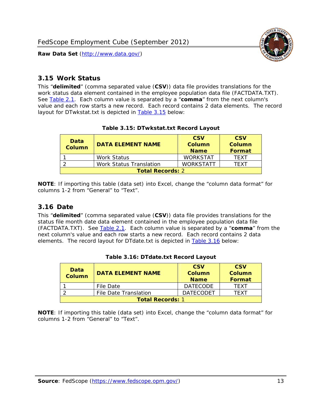

#### <span id="page-13-0"></span>*3.15 Work Status*

<span id="page-13-4"></span><span id="page-13-2"></span>This "**delimited**" (comma separated value (**CSV**)) data file provides translations for the work status data element contained in the employee population data file (FACTDATA.TXT). See [Table 2.1](#page-4-1). Each column value is separated by a "**comma**" from the next column's value and each row starts a new record. Each record contains 2 data elements. The record layout for DTwkstat.txt is depicted in [Table 3.15](#page-13-4) below:

| Data<br><b>Column</b>   | <b>DATA ELEMENT NAME</b> | <b>CSV</b><br>Column<br><b>Name</b> | <b>CSV</b><br>Column<br><b>Format</b> |
|-------------------------|--------------------------|-------------------------------------|---------------------------------------|
|                         | Work Status              | <b>WORKSTAT</b>                     | TFXT                                  |
|                         | Work Status Translation  | <b>WORKSTATT</b>                    | TFXT                                  |
| <b>Total Records: 2</b> |                          |                                     |                                       |

#### **Table 3.15: DTwkstat.txt Record Layout**

**NOTE**: If importing this table (data set) into Excel, change the "column data format" for columns 1-2 from "General" to "Text".

#### <span id="page-13-1"></span>*3.16 Date*

<span id="page-13-5"></span><span id="page-13-3"></span>This "**delimited**" (comma separated value (**CSV**)) data file provides translations for the status file month date data element contained in the employee population data file (FACTDATA.TXT). See [Table 2.1](#page-4-1). Each column value is separated by a "**comma**" from the next column's value and each row starts a new record. Each record contains 2 data elements. The record layout for DTdate.txt is depicted in [Table 3.16](#page-13-5) below:

| Data<br><b>Column</b>   | <b>DATA ELEMENT NAME</b> | <b>CSV</b><br>Column<br><b>Name</b> | <b>CSV</b><br>Column<br><b>Format</b> |
|-------------------------|--------------------------|-------------------------------------|---------------------------------------|
|                         | File Date                | <b>DATECODE</b>                     | TFXT                                  |
|                         | File Date Translation    | <b>DATECODET</b>                    | TFXT                                  |
| <b>Total Records: 1</b> |                          |                                     |                                       |

**Table 3.16: DTdate.txt Record Layout**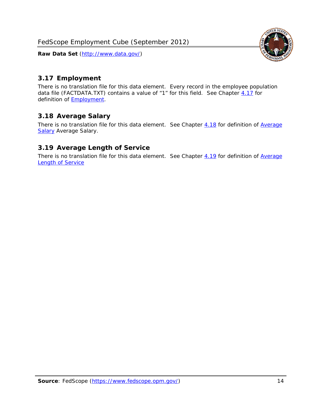

## <span id="page-14-0"></span>*3.17 Employment*

There is no translation file for this data element. Every record in the employee population data file (FACTDATA.TXT) contains a value of "1" for this field. See Chapter [4.17](#page-16-8) for definition of **Employment**.

## <span id="page-14-1"></span>*3.18 Average Salary*

There is no translation file for this data element. See Chapter [4.18](#page-17-1) for definition of [Average](#page-17-1) [Salary](#page-17-1) [Average Salary.](#page-17-1)

#### <span id="page-14-2"></span>*3.19 Average Length of Service*

There is no translation file for this data element. See Chapter [4.19](#page-17-2) for definition of [Average](#page-17-2) Length of Service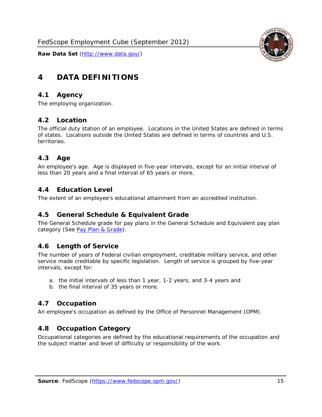

# <span id="page-15-0"></span>**4 DATA DEFINITIONS**

#### <span id="page-15-1"></span>*4.1 Agency*

The employing organization.

#### <span id="page-15-2"></span>*4.2 Location*

The official duty station of an employee. Locations in the United States are defined in terms of states. Locations outside the United States are defined in terms of countries and U.S. territories.

#### <span id="page-15-3"></span>*4.3 Age*

An employee's age. Age is displayed in five-year intervals, except for an initial interval of less than 20 years and a final interval of 65 years or more.

#### <span id="page-15-4"></span>*4.4 Education Level*

The extent of an employee's educational attainment from an accredited institution.

#### <span id="page-15-5"></span>*4.5 General Schedule & Equivalent Grade*

The General Schedule grade for pay plans in the General Schedule and Equivalent pay plan category (See [Pay Plan & Grade](#page-16-0)).

#### <span id="page-15-6"></span>*4.6 Length of Service*

The number of years of Federal civilian employment, creditable military service, and other service made creditable by specific legislation. Length of service is grouped by five-year intervals, except for:

- a. the initial intervals of less than 1 year, 1-2 years, and 3-4 years and
- b. the final interval of 35 years or more.

#### <span id="page-15-7"></span>*4.7 Occupation*

An employee's occupation as defined by the Office of Personnel Management (OPM).

#### <span id="page-15-8"></span>*4.8 Occupation Category*

Occupational categories are defined by the educational requirements of the occupation and the subject matter and level of difficulty or responsibility of the work.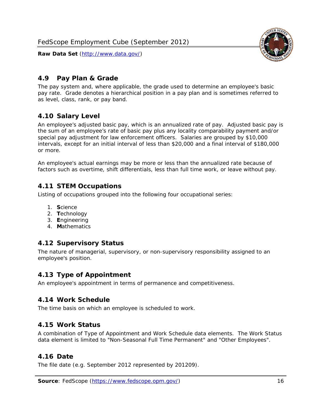<span id="page-16-0"></span>

The pay system and, where applicable, the grade used to determine an employee's basic pay rate. Grade denotes a hierarchical position in a pay plan and is sometimes referred to as level, class, rank, or pay band.

## <span id="page-16-1"></span>*4.10 Salary Level*

An employee's adjusted basic pay, which is an annualized rate of pay. Adjusted basic pay is the sum of an employee's rate of basic pay plus any locality comparability payment and/or special pay adjustment for law enforcement officers. Salaries are grouped by \$10,000 intervals, except for an initial interval of less than \$20,000 and a final interval of \$180,000 or more.

An employee's actual earnings may be more or less than the annualized rate because of factors such as overtime, shift differentials, less than full time work, or leave without pay.

## <span id="page-16-2"></span>*4.11 STEM Occupations*

Listing of occupations grouped into the following four occupational series:

- 1. **S**cience
- 2. **T**echnology
- 3. **E**ngineering
- 4. **M**athematics

#### <span id="page-16-3"></span>*4.12 Supervisory Status*

The nature of managerial, supervisory, or non-supervisory responsibility assigned to an employee's position.

#### <span id="page-16-4"></span>*4.13 Type of Appointment*

An employee's appointment in terms of permanence and competitiveness.

#### <span id="page-16-5"></span>*4.14 Work Schedule*

The time basis on which an employee is scheduled to work.

#### <span id="page-16-6"></span>*4.15 Work Status*

A combination of Type of Appointment and Work Schedule data elements. The Work Status data element is limited to "Non-Seasonal Full Time Permanent" and "Other Employees".

#### <span id="page-16-7"></span>*4.16 Date*

<span id="page-16-8"></span>The file date (e.g. September 2012 represented by 201209).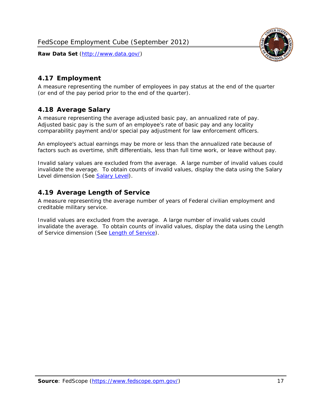

#### <span id="page-17-0"></span>*4.17 Employment*

A measure representing the number of employees in pay status at the end of the quarter (or end of the pay period prior to the end of the quarter).

#### <span id="page-17-1"></span>*4.18 Average Salary*

A measure representing the average adjusted basic pay, an annualized rate of pay. Adjusted basic pay is the sum of an employee's rate of basic pay and any locality comparability payment and/or special pay adjustment for law enforcement officers.

An employee's actual earnings may be more or less than the annualized rate because of factors such as overtime, shift differentials, less than full time work, or leave without pay.

Invalid salary values are excluded from the average. A large number of invalid values could invalidate the average. To obtain counts of invalid values, display the data using the Salary Level dimension (See [Salary Level\)](#page-16-1).

#### <span id="page-17-2"></span>*4.19 Average Length of Service*

A measure representing the average number of years of Federal civilian employment and creditable military service.

Invalid values are excluded from the average. A large number of invalid values could invalidate the average. To obtain counts of invalid values, display the data using the Length of Service dimension (See [Length of Service](#page-15-6)).